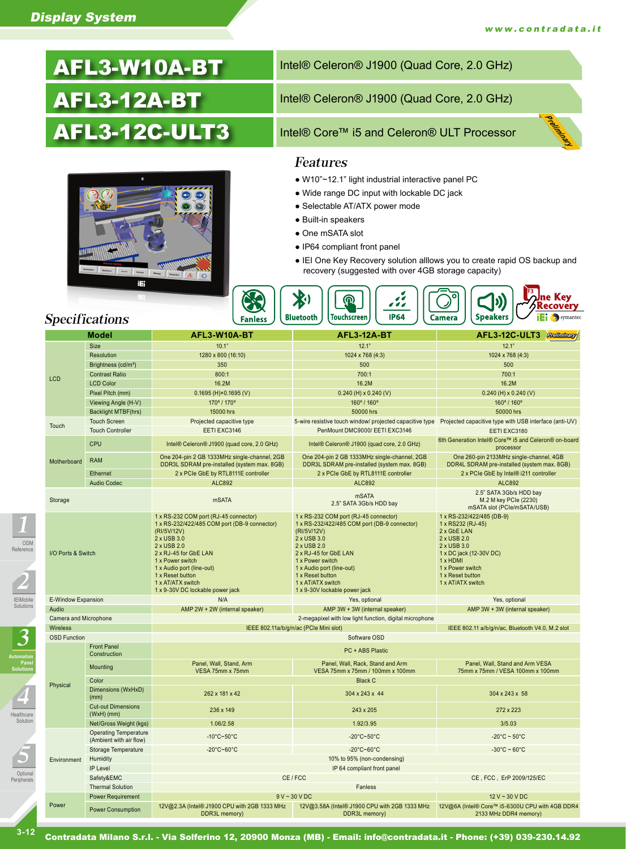# AFL3-W10A-BT AFL3-12A-BT AFL3-12C-ULT3



# Intel® Celeron® J1900 (Quad Core, 2.0 GHz) Intel® Celeron® J1900 (Quad Core, 2.0 GHz) Intel® Core™ i5 and Celeron® ULT Processor Preliminary

#### Features

- W10"~12.1" light industrial interactive panel PC
- Wide range DC input with lockable DC jack
- Selectable AT/ATX power mode
- Built-in speakers
- One mSATA slot
- IP64 compliant front panel
- IEI One Key Recovery solution alllows you to create rapid OS backup and recovery (suggested with over 4GB storage capacity)



### Specifications

IEIMobile Solutions

3

Optional Peripherals

5

Healthcare Solution

4

**Automation Panel Solutions**

2

ODM Reference

1

| Model                 |                                                         | AFL3-W10A-BT                                                                                                                                                                                                                                                                              | <b>AFL3-12A-BT</b>                                                                                                                                                                                                                                                                     | AFL3-12C-ULT3 Preliminary                                                                                                                                                                       |  |  |
|-----------------------|---------------------------------------------------------|-------------------------------------------------------------------------------------------------------------------------------------------------------------------------------------------------------------------------------------------------------------------------------------------|----------------------------------------------------------------------------------------------------------------------------------------------------------------------------------------------------------------------------------------------------------------------------------------|-------------------------------------------------------------------------------------------------------------------------------------------------------------------------------------------------|--|--|
|                       | <b>Size</b>                                             | 10.1"                                                                                                                                                                                                                                                                                     | 12.1"                                                                                                                                                                                                                                                                                  | 12.1"                                                                                                                                                                                           |  |  |
|                       | Resolution                                              | 1280 x 800 (16:10)                                                                                                                                                                                                                                                                        | 1024 x 768 (4:3)                                                                                                                                                                                                                                                                       | 1024 x 768 (4:3)                                                                                                                                                                                |  |  |
|                       | Brightness (cd/m <sup>2</sup> )                         | 350                                                                                                                                                                                                                                                                                       | 500                                                                                                                                                                                                                                                                                    | 500                                                                                                                                                                                             |  |  |
|                       | <b>Contrast Ratio</b>                                   | 800:1                                                                                                                                                                                                                                                                                     | 700:1                                                                                                                                                                                                                                                                                  | 700:1                                                                                                                                                                                           |  |  |
| <b>LCD</b>            | <b>LCD Color</b>                                        | 16.2M                                                                                                                                                                                                                                                                                     | 16.2M                                                                                                                                                                                                                                                                                  | 16.2M                                                                                                                                                                                           |  |  |
|                       | Pixel Pitch (mm)                                        | $0.1695$ (H) $\times$ 0.1695 (V)                                                                                                                                                                                                                                                          | $0.240$ (H) x $0.240$ (V)                                                                                                                                                                                                                                                              | $0.240$ (H) x $0.240$ (V)                                                                                                                                                                       |  |  |
|                       | Viewing Angle (H-V)                                     | 170°/170°                                                                                                                                                                                                                                                                                 | 160°/160°                                                                                                                                                                                                                                                                              | 160° / 160°                                                                                                                                                                                     |  |  |
|                       | <b>Backlight MTBF(hrs)</b>                              | 15000 hrs                                                                                                                                                                                                                                                                                 | 50000 hrs                                                                                                                                                                                                                                                                              | 50000 hrs                                                                                                                                                                                       |  |  |
|                       | <b>Touch Screen</b>                                     | Projected capacitive type                                                                                                                                                                                                                                                                 |                                                                                                                                                                                                                                                                                        | 5-wire resistive touch window/ projected capacitive type Projected capacitive type with USB interface (anti-UV)                                                                                 |  |  |
| Touch                 | <b>Touch Controller</b>                                 | EETI EXC3146                                                                                                                                                                                                                                                                              | PenMount DMC9000/ EETI EXC3146                                                                                                                                                                                                                                                         | EETI EXC3180                                                                                                                                                                                    |  |  |
|                       | <b>CPU</b>                                              | Intel® Celeron® J1900 (quad core, 2.0 GHz)                                                                                                                                                                                                                                                | Intel® Celeron® J1900 (quad core, 2.0 GHz)                                                                                                                                                                                                                                             | 6th Generation Intel® Core™ i5 and Celeron® on-board<br>processor                                                                                                                               |  |  |
| Motherboard           | <b>RAM</b>                                              | One 204-pin 2 GB 1333MHz single-channel, 2GB<br>DDR3L SDRAM pre-installed (system max. 8GB)                                                                                                                                                                                               | One 204-pin 2 GB 1333MHz single-channel, 2GB<br>DDR3L SDRAM pre-installed (system max. 8GB)                                                                                                                                                                                            | One 260-pin 2133MHz single-channel, 4GB<br>DDR4L SDRAM pre-installed (system max. 8GB)                                                                                                          |  |  |
|                       | Ethernet                                                | 2 x PCIe GbE by RTL8111E controller                                                                                                                                                                                                                                                       | 2 x PCIe GbE by RTL8111E controller                                                                                                                                                                                                                                                    | 2 x PCIe GbE by Intel® i211 controller                                                                                                                                                          |  |  |
|                       | <b>Audio Codec</b>                                      | <b>ALC892</b>                                                                                                                                                                                                                                                                             | <b>ALC892</b>                                                                                                                                                                                                                                                                          | <b>ALC892</b>                                                                                                                                                                                   |  |  |
| Storage               |                                                         | <b>mSATA</b>                                                                                                                                                                                                                                                                              | <b>mSATA</b><br>2.5" SATA 3Gb/s HDD bay                                                                                                                                                                                                                                                | 2.5" SATA 3Gb/s HDD bay<br>M.2 M key PCIe (2230)<br>mSATA slot (PCle/mSATA/USB)                                                                                                                 |  |  |
| I/O Ports & Switch    |                                                         | 1 x RS-232 COM port (RJ-45 connector)<br>1 x RS-232/422/485 COM port (DB-9 connector)<br>(RI/5V/12V)<br>2 x USB 3.0<br>2 x USB 2.0<br>2 x RJ-45 for GbE LAN<br>1 x Power switch<br>1 x Audio port (line-out)<br>1 x Reset button<br>1 x AT/ATX switch<br>1 x 9-30V DC lockable power jack | 1 x RS-232 COM port (RJ-45 connector)<br>1 x RS-232/422/485 COM port (DB-9 connector)<br>(RI/5V/12V)<br>2 x USB 3.0<br>2 x USB 2.0<br>2 x RJ-45 for GbE LAN<br>1 x Power switch<br>1 x Audio port (line-out)<br>1 x Reset button<br>1 x AT/ATX switch<br>1 x 9-30V lockable power jack | 1 x RS-232/422/485 (DB-9)<br>1 x RS232 (RJ-45)<br>2 x GbE LAN<br>2 x USB 2.0<br>2 x USB 3.0<br>1 x DC jack (12-30V DC)<br>1 x HDMI<br>1 x Power switch<br>1 x Reset button<br>1 x AT/ATX switch |  |  |
| E-Window Expansion    |                                                         | N/A                                                                                                                                                                                                                                                                                       | Yes, optional                                                                                                                                                                                                                                                                          | Yes, optional                                                                                                                                                                                   |  |  |
| Audio                 |                                                         | AMP 2W + 2W (internal speaker)                                                                                                                                                                                                                                                            | AMP 3W + 3W (internal speaker)                                                                                                                                                                                                                                                         | AMP 3W + 3W (internal speaker)                                                                                                                                                                  |  |  |
| Camera and Microphone |                                                         | 2-megapixel with low light function, digital microphone                                                                                                                                                                                                                                   |                                                                                                                                                                                                                                                                                        |                                                                                                                                                                                                 |  |  |
| Wireless              |                                                         | IEEE 802.11a/b/g/n/ac (PCIe Mini slot)<br>IEEE 802.11 a/b/g/n/ac, Bluetooth V4.0, M.2 slot                                                                                                                                                                                                |                                                                                                                                                                                                                                                                                        |                                                                                                                                                                                                 |  |  |
| <b>OSD Function</b>   |                                                         | Software OSD                                                                                                                                                                                                                                                                              |                                                                                                                                                                                                                                                                                        |                                                                                                                                                                                                 |  |  |
|                       | <b>Front Panel</b><br>Construction                      | PC + ABS Plastic                                                                                                                                                                                                                                                                          |                                                                                                                                                                                                                                                                                        |                                                                                                                                                                                                 |  |  |
|                       | Mounting                                                | Panel, Wall, Stand, Arm<br>VESA 75mm x 75mm                                                                                                                                                                                                                                               | Panel, Wall, Rack, Stand and Arm<br>VESA 75mm x 75mm / 100mm x 100mm                                                                                                                                                                                                                   | Panel, Wall, Stand and Arm VESA<br>75mm x 75mm / VESA 100mm x 100mm                                                                                                                             |  |  |
| Physical              | Color                                                   | <b>Black C</b>                                                                                                                                                                                                                                                                            |                                                                                                                                                                                                                                                                                        |                                                                                                                                                                                                 |  |  |
|                       | Dimensions (WxHxD)<br>(mm)                              | 262 x 181 x 42                                                                                                                                                                                                                                                                            | 304 x 243 x 44                                                                                                                                                                                                                                                                         | 304 x 243 x 58                                                                                                                                                                                  |  |  |
|                       | <b>Cut-out Dimensions</b><br>$(WxH)$ (mm)               | 236 x 149                                                                                                                                                                                                                                                                                 | 243 x 205                                                                                                                                                                                                                                                                              | 272 x 223                                                                                                                                                                                       |  |  |
|                       | Net/Gross Weight (kgs)                                  | 1.06/2.58                                                                                                                                                                                                                                                                                 | 1.92/3.95                                                                                                                                                                                                                                                                              | 3/5.03                                                                                                                                                                                          |  |  |
| Environment           | <b>Operating Temperature</b><br>(Ambient with air flow) | $-10^{\circ}$ C~50 $^{\circ}$ C                                                                                                                                                                                                                                                           | -20 $^{\circ}$ C~50 $^{\circ}$ C                                                                                                                                                                                                                                                       | $-20^{\circ}$ C ~ 50 $^{\circ}$ C                                                                                                                                                               |  |  |
|                       | Storage Temperature                                     | $-20^{\circ}$ C~60 $^{\circ}$ C                                                                                                                                                                                                                                                           | -20°C~60°C                                                                                                                                                                                                                                                                             | $-30^{\circ}$ C ~ 60 $^{\circ}$ C                                                                                                                                                               |  |  |
|                       | Humidity                                                | 10% to 95% (non-condensing)                                                                                                                                                                                                                                                               |                                                                                                                                                                                                                                                                                        |                                                                                                                                                                                                 |  |  |
|                       | IP Level                                                |                                                                                                                                                                                                                                                                                           |                                                                                                                                                                                                                                                                                        |                                                                                                                                                                                                 |  |  |
|                       | Safety&EMC                                              | CE/FCC                                                                                                                                                                                                                                                                                    | CE, FCC, ErP 2009/125/EC                                                                                                                                                                                                                                                               |                                                                                                                                                                                                 |  |  |
|                       | <b>Thermal Solution</b>                                 |                                                                                                                                                                                                                                                                                           |                                                                                                                                                                                                                                                                                        |                                                                                                                                                                                                 |  |  |
| Power                 | <b>Power Requirement</b>                                | 9 V ~ 30 V D C<br>12 V ~ 30 V DC                                                                                                                                                                                                                                                          |                                                                                                                                                                                                                                                                                        |                                                                                                                                                                                                 |  |  |
|                       | <b>Power Consumption</b>                                | 12V@2.3A (Intel® J1900 CPU with 2GB 1333 MHz<br>DDR3L memory)                                                                                                                                                                                                                             | 12V@3.58A (Intel® J1900 CPU with 2GB 1333 MHz<br>DDR3L memory)                                                                                                                                                                                                                         | 12V@6A (Intel® Core™ i5-6300U CPU with 4GB DDR4<br>2133 MHz DDR4 memory)                                                                                                                        |  |  |

**3-12**

Contradata Milano S.r.l. - Via Solferino 12, 20900 Monza (MB) - Email: info@contradata.it - Phone: (+39) 039-230.14.92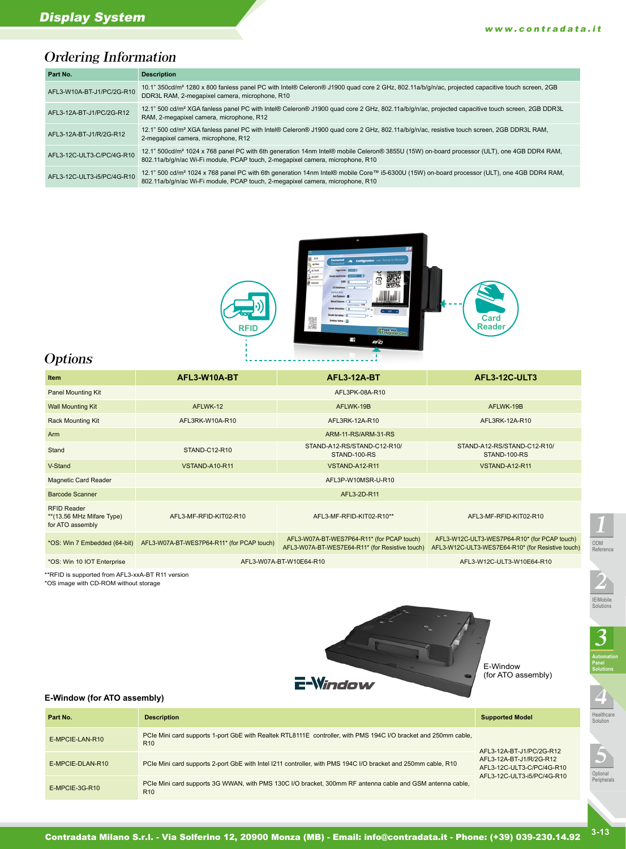### Ordering Information

| Part No.                   | <b>Description</b>                                                                                                                                                                                                                        |
|----------------------------|-------------------------------------------------------------------------------------------------------------------------------------------------------------------------------------------------------------------------------------------|
| AFL3-W10A-BT-J1/PC/2G-R10  | 10.1" 350cd/m <sup>2</sup> 1280 x 800 fanless panel PC with Intel® Celeron® J1900 quad core 2 GHz, 802.11a/b/q/n/ac, projected capacitive touch screen, 2GB<br>DDR3L RAM, 2-megapixel camera, microphone, R10                             |
| AFL3-12A-BT-J1/PC/2G-R12   | 12.1" 500 cd/m <sup>2</sup> XGA fanless panel PC with Intel® Celeron® J1900 quad core 2 GHz, 802.11a/b/q/n/ac, projected capacitive touch screen, 2GB DDR3L<br>RAM, 2-megapixel camera, microphone, R12                                   |
| AFL3-12A-BT-J1/R/2G-R12    | 12.1" 500 cd/m <sup>2</sup> XGA fanless panel PC with Intel® Celeron® J1900 quad core 2 GHz, 802.11a/b/q/n/ac, resistive touch screen, 2GB DDR3L RAM,<br>2-megapixel camera, microphone, R12                                              |
| AFL3-12C-ULT3-C/PC/4G-R10  | 12.1" 500cd/m <sup>2</sup> 1024 x 768 panel PC with 6th generation 14nm Intel® mobile Celeron® 3855U (15W) on-board processor (ULT), one 4GB DDR4 RAM,<br>802.11a/b/g/n/ac Wi-Fi module, PCAP touch, 2-megapixel camera, microphone, R10  |
| AFL3-12C-ULT3-i5/PC/4G-R10 | 12.1" 500 cd/m <sup>2</sup> 1024 x 768 panel PC with 6th generation 14nm Intel® mobile Core™ i5-6300U (15W) on-board processor (ULT), one 4GB DDR4 RAM,<br>802.11a/b/g/n/ac Wi-Fi module, PCAP touch, 2-megapixel camera, microphone, R10 |



### **Options**

| AFL3-W10A-BT<br><b>Item</b>                                          |                                            | <b>AFL3-12A-BT</b>                                                                            | <b>AFL3-12C-ULT3</b>                                                                              |  |  |
|----------------------------------------------------------------------|--------------------------------------------|-----------------------------------------------------------------------------------------------|---------------------------------------------------------------------------------------------------|--|--|
| Panel Mounting Kit                                                   | AFL3PK-08A-R10                             |                                                                                               |                                                                                                   |  |  |
| <b>Wall Mounting Kit</b>                                             | AFLWK-12                                   | AFLWK-19B                                                                                     | AFLWK-19B                                                                                         |  |  |
| <b>Rack Mounting Kit</b>                                             | AFL3RK-W10A-R10                            | AFL3RK-12A-R10                                                                                | AFL3RK-12A-R10                                                                                    |  |  |
| Arm                                                                  | ARM-11-RS/ARM-31-RS                        |                                                                                               |                                                                                                   |  |  |
| Stand                                                                | STAND-C12-R10                              | STAND-A12-RS/STAND-C12-R10/<br>STAND-100-RS                                                   | STAND-A12-RS/STAND-C12-R10/<br>STAND-100-RS                                                       |  |  |
| V-Stand<br>VSTAND-A10-R11                                            |                                            | VSTAND-A12-R11                                                                                | VSTAND-A12-R11                                                                                    |  |  |
| Magnetic Card Reader                                                 | AFL3P-W10MSR-U-R10                         |                                                                                               |                                                                                                   |  |  |
| Barcode Scanner                                                      |                                            | AFL3-2D-R11                                                                                   |                                                                                                   |  |  |
| <b>RFID Reader</b><br>** (13.56 MHz Mifare Type)<br>for ATO assembly | AFL3-MF-RFID-KIT02-R10                     | AFL3-MF-RFID-KIT02-R10**                                                                      | AFL3-MF-RFID-KIT02-R10                                                                            |  |  |
| *OS: Win 7 Embedded (64-bit)                                         | AFL3-W07A-BT-WES7P64-R11* (for PCAP touch) | AFL3-W07A-BT-WES7P64-R11* (for PCAP touch)<br>AFL3-W07A-BT-WES7E64-R11* (for Resistive touch) | AFL3-W12C-ULT3-WES7P64-R10* (for PCAP touch)<br>AFL3-W12C-ULT3-WES7E64-R10* (for Resistive touch) |  |  |
| *OS: Win 10 IOT Enterprise                                           | AFL3-W07A-BT-W10E64-R10                    | AFL3-W12C-ULT3-W10E64-R10                                                                     |                                                                                                   |  |  |

\*\*RFID is supported from AFL3-xxA-BT R11 version

\*OS image with CD-ROM without storage



E-Window (for ATO assembly)

## Healthcare Solution 4

IEIMobile Solutions

3

**Automation Panel Solutions**

2

ODM Reference

1



**E-Window (for ATO assembly)**

| Part No.                                                                                                                                       | <b>Description</b>                                                                                                                 | <b>Supported Model</b>                                                             |  |
|------------------------------------------------------------------------------------------------------------------------------------------------|------------------------------------------------------------------------------------------------------------------------------------|------------------------------------------------------------------------------------|--|
| E-MPCIE-LAN-R10                                                                                                                                | PCIe Mini card supports 1-port GbE with Realtek RTL8111E controller, with PMS 194C I/O bracket and 250mm cable,<br>R <sub>10</sub> | AFL3-12A-BT-J1/PC/2G-R12                                                           |  |
| E-MPCIE-DLAN-R10                                                                                                                               | PCIe Mini card supports 2-port GbE with Intel I211 controller, with PMS 194C I/O bracket and 250mm cable, R10                      | AFL3-12A-BT-J1/R/2G-R12<br>AFL3-12C-ULT3-C/PC/4G-R10<br>AFL3-12C-ULT3-i5/PC/4G-R10 |  |
| PCIe Mini card supports 3G WWAN, with PMS 130C I/O bracket, 300mm RF antenna cable and GSM antenna cable,<br>E-MPCIE-3G-R10<br>R <sub>10</sub> |                                                                                                                                    |                                                                                    |  |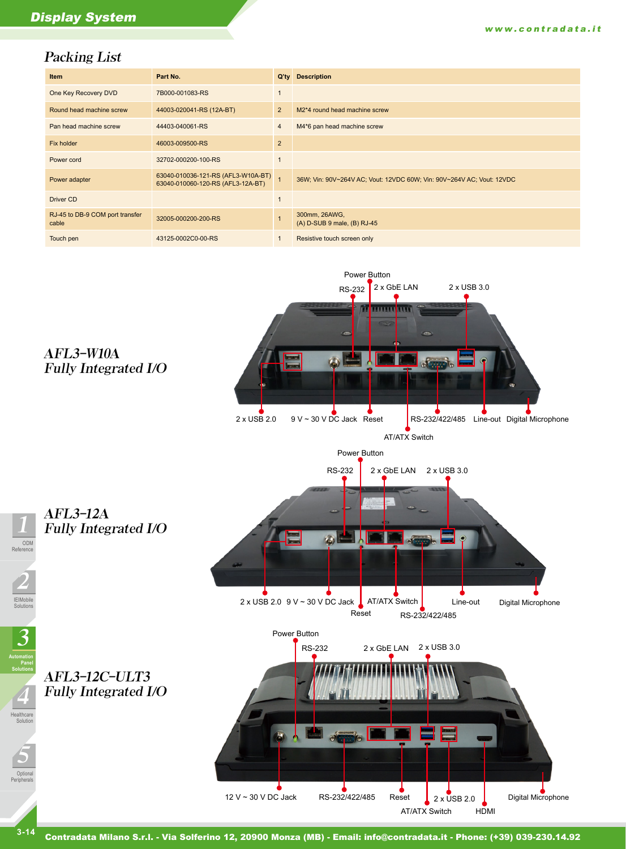#### Packing List

| <b>Item</b>                              | Part No.                                                                | $Q'$ ty        | <b>Description</b>                                                    |
|------------------------------------------|-------------------------------------------------------------------------|----------------|-----------------------------------------------------------------------|
| One Key Recovery DVD                     | 7B000-001083-RS                                                         | $\overline{1}$ |                                                                       |
| Round head machine screw                 | 44003-020041-RS (12A-BT)                                                | 2              | M <sub>2</sub> *4 round head machine screw                            |
| Pan head machine screw                   | 44403-040061-RS                                                         | $\overline{4}$ | M4*6 pan head machine screw                                           |
| Fix holder                               | 46003-009500-RS                                                         | $\overline{2}$ |                                                                       |
| Power cord                               | 32702-000200-100-RS                                                     | $\overline{1}$ |                                                                       |
| Power adapter                            | 63040-010036-121-RS (AFL3-W10A-BT)<br>63040-010060-120-RS (AFL3-12A-BT) |                | 36W; Vin: 90V~264V AC; Vout: 12VDC 60W; Vin: 90V~264V AC; Vout: 12VDC |
| Driver CD                                |                                                                         | $\overline{1}$ |                                                                       |
| RJ-45 to DB-9 COM port transfer<br>cable | 32005-000200-200-RS                                                     | $\overline{1}$ | 300mm, 26AWG,<br>(A) D-SUB 9 male, (B) RJ-45                          |
| Touch pen                                | 43125-0002C0-00-RS                                                      | $\mathbf 1$    | Resistive touch screen only                                           |



Contradata Milano S.r.l. - Via Solferino 12, 20900 Monza (MB) - Email: info@contradata.it - Phone: (+39) 039-230.14.92